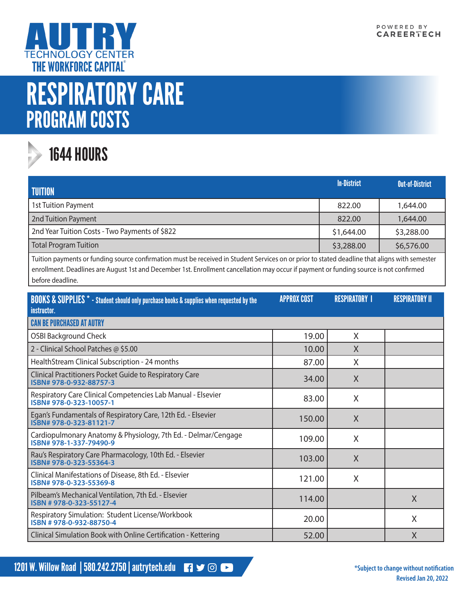

## RESPIRATORY CARE PROGRAM COSTS



## 1644 HOURS

| <b>TUITION</b>                                 | <b>In-District</b> | <b>Out-of-District</b> |
|------------------------------------------------|--------------------|------------------------|
| 1st Tuition Payment                            | 822.00             | 1,644.00               |
| 2nd Tuition Payment                            | 822.00             | 1,644.00               |
| 2nd Year Tuition Costs - Two Payments of \$822 | \$1,644.00         | \$3,288.00             |
| Total Program Tuition                          | \$3,288.00         | \$6,576.00             |

Tuition payments or funding source confirmation must be received in Student Services on or prior to stated deadline that aligns with semester enrollment. Deadlines are August 1st and December 1st. Enrollment cancellation may occur if payment or funding source is not confirmed before deadline.

| <b>BOOKS &amp; SUPPLIES</b> * - Student should only purchase books & supplies when requested by the<br>instructor. | <b>APPROX COST</b> | <b>RESPIRATORY I</b> | <b>RESPIRATORY II</b> |
|--------------------------------------------------------------------------------------------------------------------|--------------------|----------------------|-----------------------|
| <b>CAN BE PURCHASED AT AUTRY</b>                                                                                   |                    |                      |                       |
| <b>OSBI Background Check</b>                                                                                       | 19.00              | X                    |                       |
| 2 - Clinical School Patches @ \$5.00                                                                               | 10.00              | X                    |                       |
| HealthStream Clinical Subscription - 24 months                                                                     | 87.00              | X                    |                       |
| Clinical Practitioners Pocket Guide to Respiratory Care<br>ISBN# 978-0-932-88757-3                                 | 34.00              | X                    |                       |
| Respiratory Care Clinical Competencies Lab Manual - Elsevier<br>ISBN# 978-0-323-10057-1                            | 83.00              | X                    |                       |
| Egan's Fundamentals of Respiratory Care, 12th Ed. - Elsevier<br>ISBN# 978-0-323-81121-7                            | 150.00             | X                    |                       |
| Cardiopulmonary Anatomy & Physiology, 7th Ed. - Delmar/Cengage<br>ISBN# 978-1-337-79490-9                          | 109.00             | X                    |                       |
| Rau's Respiratory Care Pharmacology, 10th Ed. - Elsevier<br>ISBN# 978-0-323-55364-3                                | 103.00             | X                    |                       |
| Clinical Manifestations of Disease, 8th Ed. - Elsevier<br>ISBN# 978-0-323-55369-8                                  | 121.00             | X                    |                       |
| Pilbeam's Mechanical Ventilation, 7th Ed. - Elsevier<br>ISBN #978-0-323-55127-4                                    | 114.00             |                      | X                     |
| Respiratory Simulation: Student License/Workbook<br>ISBN #978-0-932-88750-4                                        | 20.00              |                      | X                     |
| Clinical Simulation Book with Online Certification - Kettering                                                     | 52.00              |                      | X                     |

1201 W. Willow Road | 580.242.2750 | autrytech.edu **13 Set 200 120 Automobile Construction** and the subject to change without notification